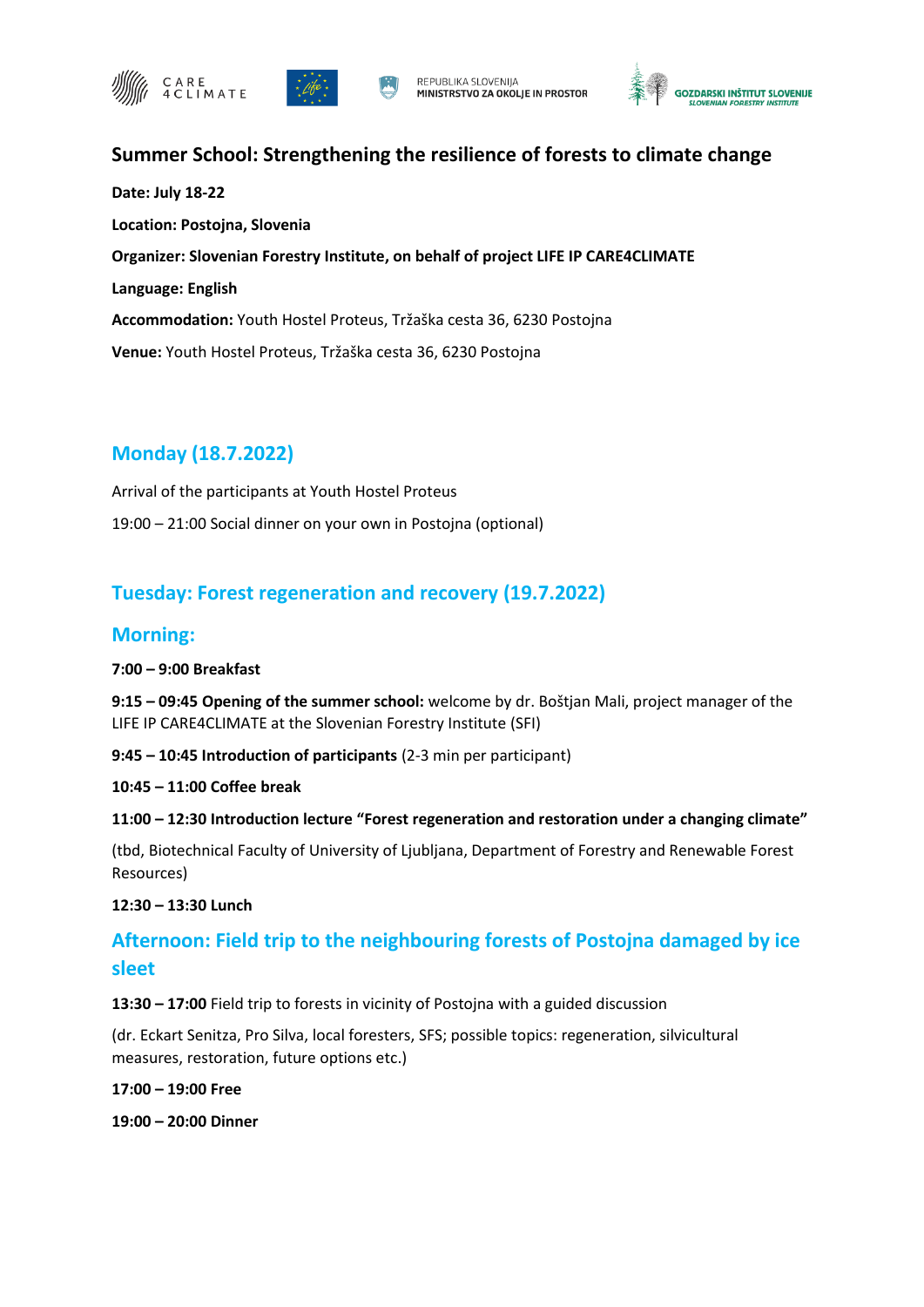







### **Summer School: Strengthening the resilience of forests to climate change**

**Date: July 18-22 Location: Postojna, Slovenia Organizer: Slovenian Forestry Institute, on behalf of project LIFE IP CARE4CLIMATE Language: English Accommodation:** Youth Hostel Proteus, Tržaška cesta 36, 6230 Postojna **Venue:** Youth Hostel Proteus, Tržaška cesta 36, 6230 Postojna

## **Monday (18.7.2022)**

Arrival of the participants at Youth Hostel Proteus 19:00 – 21:00 Social dinner on your own in Postojna (optional)

### **Tuesday: Forest regeneration and recovery (19.7.2022)**

### **Morning:**

### **7:00 – 9:00 Breakfast**

**9:15 – 09:45 Opening of the summer school:** welcome by dr. Boštjan Mali, project manager of the LIFE IP CARE4CLIMATE at the Slovenian Forestry Institute (SFI)

**9:45 – 10:45 Introduction of participants** (2-3 min per participant)

#### **10:45 – 11:00 Coffee break**

### **11:00 – 12:30 Introduction lecture "Forest regeneration and restoration under a changing climate"**

(tbd, Biotechnical Faculty of University of Ljubljana, Department of Forestry and Renewable Forest Resources)

#### **12:30 – 13:30 Lunch**

## **Afternoon: Field trip to the neighbouring forests of Postojna damaged by ice sleet**

#### **13:30 – 17:00** Field trip to forests in vicinity of Postojna with a guided discussion

(dr. Eckart Senitza, Pro Silva, local foresters, SFS; possible topics: regeneration, silvicultural measures, restoration, future options etc.)

#### **17:00 – 19:00 Free**

**19:00 – 20:00 Dinner**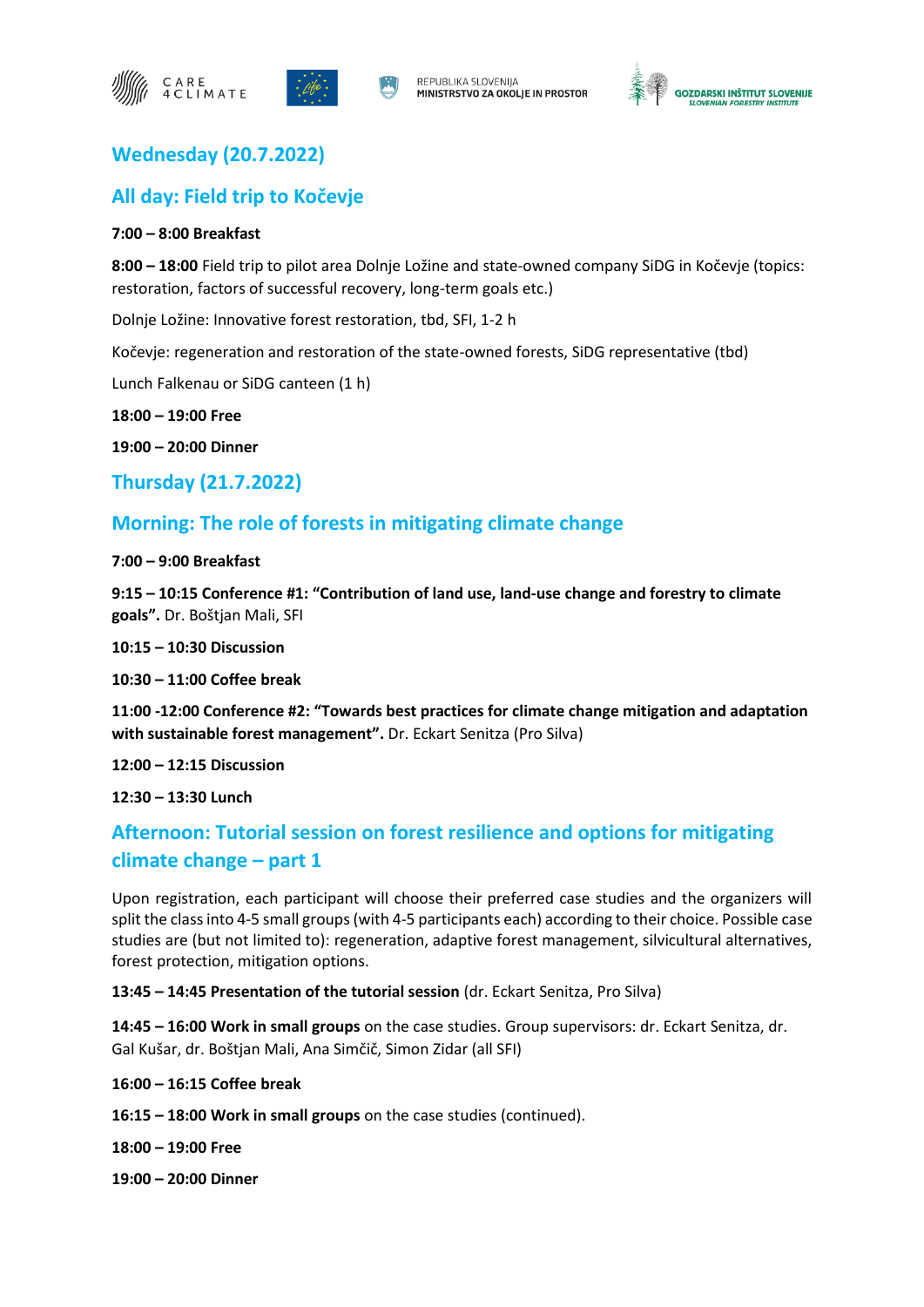







## **Wednesday (20.7.2022)**

### **All day: Field trip to Kočevje**

#### **7:00 – 8:00 Breakfast**

**8:00 – 18:00** Field trip to pilot area Dolnje Ložine and state-owned company SiDG in Kočevje (topics: restoration, factors of successful recovery, long-term goals etc.)

Dolnje Ložine: Innovative forest restoration, tbd, SFI, 1-2 h

Kočevje: regeneration and restoration of the state-owned forests, SiDG representative (tbd)

Lunch Falkenau or SiDG canteen (1 h)

**18:00 – 19:00 Free**

**19:00 – 20:00 Dinner** 

**Thursday (21.7.2022)**

## **Morning: The role of forests in mitigating climate change**

**7:00 – 9:00 Breakfast**

**9:15 – 10:15 Conference #1: "Contribution of land use, land-use change and forestry to climate goals".** Dr. Boštjan Mali, SFI

**10:15 – 10:30 Discussion**

**10:30 – 11:00 Coffee break**

**11:00 -12:00 Conference #2: "Towards best practices for climate change mitigation and adaptation with sustainable forest management".** Dr. Eckart Senitza (Pro Silva)

**12:00 – 12:15 Discussion**

**12:30 – 13:30 Lunch**

# **Afternoon: Tutorial session on forest resilience and options for mitigating climate change – part 1**

Upon registration, each participant will choose their preferred case studies and the organizers will split the class into 4-5 small groups (with 4-5 participants each) according to their choice. Possible case studies are (but not limited to): regeneration, adaptive forest management, silvicultural alternatives, forest protection, mitigation options.

**13:45 – 14:45 Presentation of the tutorial session** (dr. Eckart Senitza, Pro Silva)

**14:45 – 16:00 Work in small groups** on the case studies. Group supervisors: dr. Eckart Senitza, dr. Gal Kušar, dr. Boštjan Mali, Ana Simčič, Simon Zidar (all SFI)

**16:00 – 16:15 Coffee break**

**16:15 – 18:00 Work in small groups** on the case studies (continued).

**18:00 – 19:00 Free**

**19:00 – 20:00 Dinner**